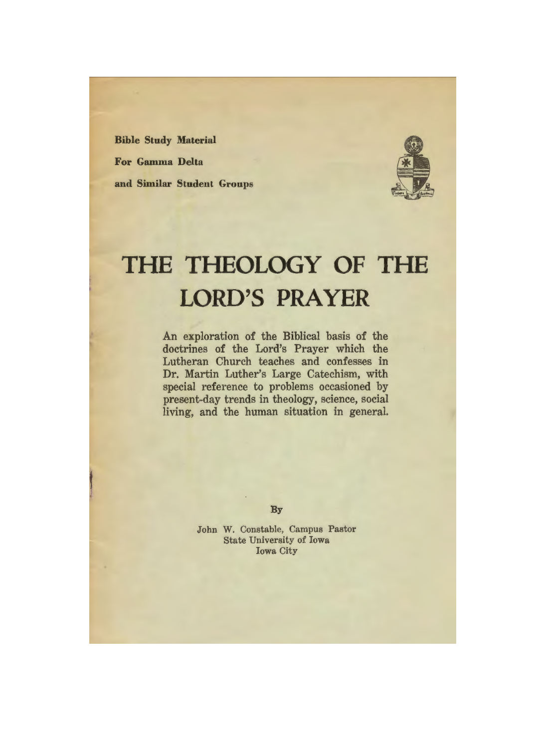**Bible Study Material For Gamma Delta and Similar Student Groups** 



# **THE THEOLOGY OF THE LORD'S PRAYER**

An exploration of the Biblical basis of the doctrines of the Lord's Prayer which the Lutheran Church teaches and confesses in Dr. Martin Luther's Large Catechism, with special reference to problems occasioned by present-day trends in theology, science, social living, and the human situation in general.

**By** 

John W. Constable, Campus Pastor State University of Iowa Iowa City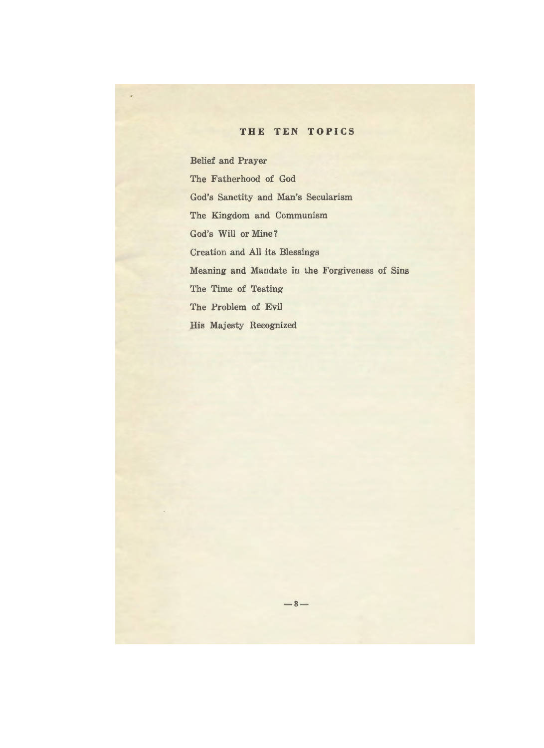## **THE TEN TOPICS**

Belief and Prayer The Fatherhood of God God's Sanctity and Man's Secularism The Kingdom and Communism God's **Will or** Mine? Creation and All its Blessings Meaning and Mandate in the Forgiveness of Sins The Time of Testing The Problem of Evil His Majesty Recognized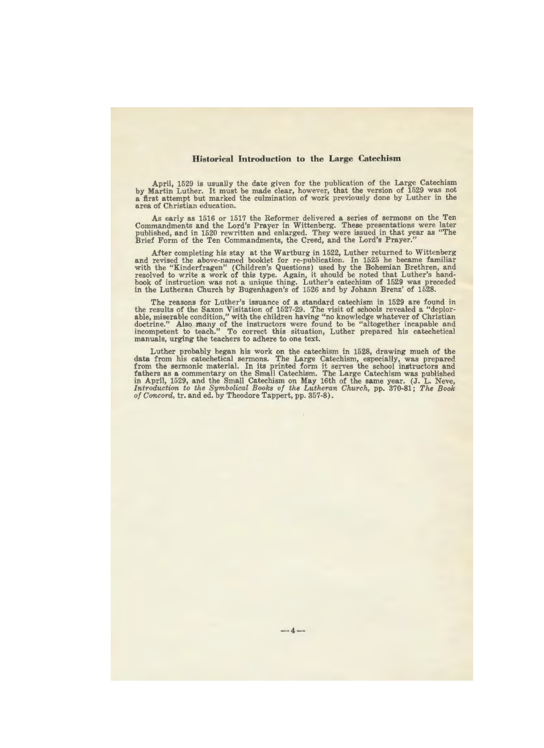#### **Historical Introduction to the Large Catechism**

April, 1529 is usually the date given for the publication of the Large Catechism<br>by Martin Luther. It must be made clear, however, that the version of 1529 was not<br>a first attempt but marked the culmination of work previou

As early as 1516 or 1517 the Reformer delivered **a** series of sermons on the Ten Commandments and the Lord's Prayer in Wittenberg. These presentations were later published, and in 1520 rewritten and enlarged. They were issued in that year as "The Brief Form of the Ten Commandments, the Creed, and the Lord's Prayer."

After completing his stay at the Wartburg in 1522, Luther returned to Wittenberg and revised the above-named booklet for re-publication. In 1525 he became familiar with the "Kinderfragen" (Children's Questions) used by the Bohemian Brethren, and resolved to write a work of this type. Again, it should be noted that Luther's handbook of instruction was not a unique thing. Luther's catechism of 1529 was preceded in the Lutheran Church by Bugenhagen's of 1526 and by Johann Brenz' of 1528.

The reasons for Luther's issuance of a standard catechism in 1529 are found in the results of the Saxon Visitation of 1527-29. The visit of schools revealed a "deplorable, miserable condition," with the children having "no knowledge whatever of Christian doctrine.': Also many of the instructors were found to be "altogether incapable and incompetent to teach." To correct this situation, Luther prepared his catechetical manuals, urging the teachers to adhere to one text.

Luther probably began his work on the catechism in 1528, drawing much of the data from his catechetical sermons. The Large Catechism, especially, was prepared from the sermonic material. In its printed form it serves the school instructors and fathers as a commentary on the Small Catechism. The Lar in April, 1529, and the Small Catechism on May 16th of the same year. (J. L. Neve, *Introduction to the Symbolical Books of the Lutheran Church,* pp. 370-81; *The Boole of Concord,* tr. and ed. by Theodore Tappert, pp. 357-8).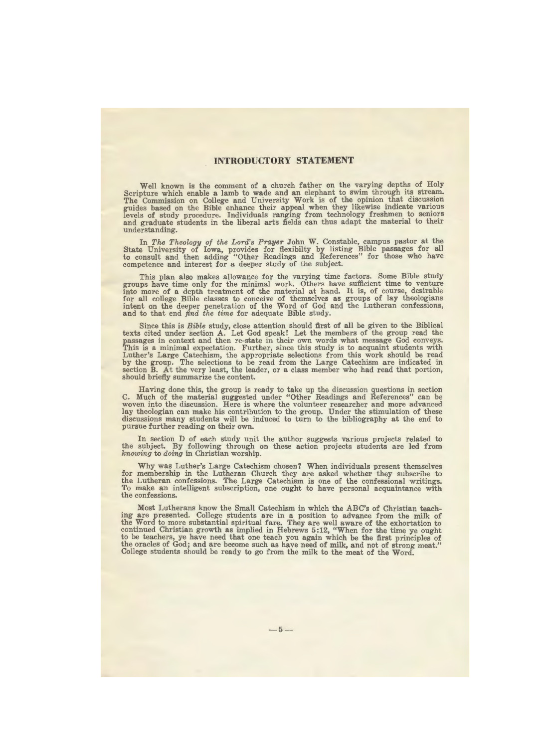## **INTRODUCTORY STATEMENT**

Well known is the comment of a church father on the varying depths of Holy Scripture which enable a lamb to wade and an elephant to swim through its stream. The Commission on College and University Work is of the opinion that discussion guides based on the Bible enhance their appeal when they likewise indicate various levels of study procedure. Individuals ranging from technology freshmen to semiors and graduate students in the liberal arts fields can thus adapt the material to their understanding.

In *The Theology of the Lord's Prayer* John W. Constable, campus pastor at the State University of **Iowa,** provides for flexibilty by listing Bible passages for all to consult and then adding "Other Readings and References" for those who have competence and interest for a deeper study of the subject.

This plan also makes allowance for the varying time factors. Some Bible study groups have time only for the minimal work. Others have sufficient time to venture into more of a depth treatment of the material at hand. It is, of course, desirable for all college Bible classes to conceive of themselves as groups of lay theologians intent on the deeper penetration of the Word of God and the Lutheran confessions, and to that end *find the time* for adequate Bible study.

Since this is *Bible* study, close attention should first of all be given to the Biblical texts cited under section A. Let God speak! Let the members of the group read the passages in context and then re-state in their own words what message God conveys. This is a minimal expectation. Further, since this study is to acquaint students with Luther's Large Catechism, the appropriate selections from this work should be read<br>by the group. The selections to be read from the Large Catechism are indicated in<br>section B. At the very least, the leader, or a class memb should briefly summarize the content.

Having done this, the group is ready to take up the discussion questions in section C. Much of the material suggested under "Other Readings and References" can be woven into the discussion. Here is where the volunteer researcher and more advanced lay theologian can make his contribution to the group. Under the stimulation of these discussions many students will be induced to turn to the bibliography at the end to pursue further reading on their own.

In section D of each study unit the author suggests various projects related to the subject. By following through on these action projects students are led from *knowing* to *doing* in Christian worship.

Why was Luther's Large Catechism chosen? When individuals present themselves for membership in the Lutheran Church they are asked whether they subscribe to the Lutheran confessions. The Large Catechism is one of the confessional writings. To make an intelligent subscription, one ought to have personal acquaintance with the confessions.

Most Lutherans know the Small Catechism in which the ABC's of Christian teaching are presented. College students are in a position to advance from the milk of the Word to more substantial spiritual fare. They are well aware of the exhortation to continued Christian growth as implied in Hebrews 5:12, "When for the time ye ought to be teachers, ye have need that one teach you again which be the first principles of the oracles of God; and are become such as have need of milk, and not of strong meat." College students should be ready to go from the milk to the meat of the Word.

 $-5-$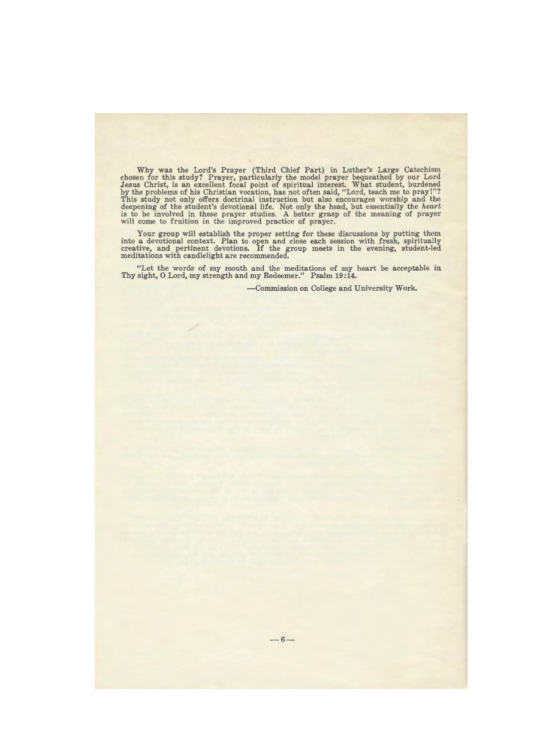Why was the Lord's Prayer (Third Chief Part) in Luther's Large Catechism chosen for this study? Prayer, particularly the model prayer bequeathed by our Lord Jesus Christ, is an excellent focal point of spiritual interest. What student, burdened by the problems of his Christian vocation, has not often said, "Lord, teach me to pray!"? This study not only offers doctrinal instruction but also encourages worship and the deepening of the student's devotional life. Not only the head, but essentially the *heart*  is to be involved in these prayer studies. A better grasp of the meaning of prayer will come to fruition in the improved practice of prayer.

Your group will establish the proper setting for these discussions by putting them into a devotional context. Plan to open and close each session with fresh, spiritually creative, and pertinent devotions. If the group meets in the evening, student-led meditations with candlelight are recommended.

"Let the words of my mouth and the meditations of my heart be acceptable in Thy sight, 0 Lord, my strength and my Redeemer." Psalm **19:14.** 

-Commission on College and University Work.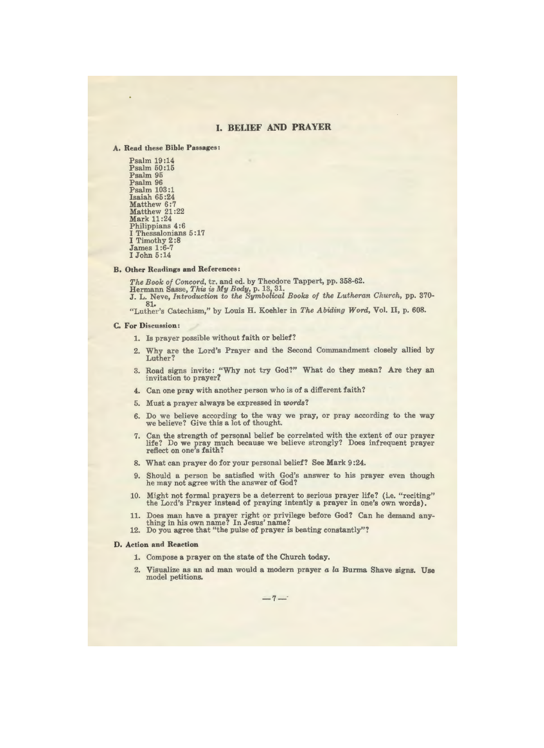## **I. BELIEF AND PRAYER**

#### A. Read these Bible Passages:

Psalm 19:14 Psalm 50:15 Psalm 95 Psalm 96 Psalm 103:1 Isaiah 65 :24 Matthew 6:7 Matthew 21:22 Mark 11:24 Philippians 4:6 I Thessalonians  $5:17$ I Timothy 2 :8 James 1:6-7 I John 5:14

#### **B. Other Readings and References:**

*The Book of Concord,* tr. and ed. by Theodore Tappert, pp. 358-62. Hermann Sasse, *This* is *My Body,* p. 13, 31. J. L. Neve, *Introduction to the Symbolical Books of the Lutheran Church,* pp. 370- 81. "Luther's Catechism," by Louis H. Koehler in *The Abiding Word,* Vol. II, p. 608.

#### **C, For** Discussion:

- 1. Is prayer possible without faith or belief?
- 2. Why are the Lord's Prayer and the Second Commandment closely allied by Luther?
- 3. Road signs invite: "Why not try God?" What do they mean? Are they an invitation to prayer?
- 4. Can one pray with another person who is of a different faith?
- 5. Must a prayer always be expressed in *words?*
- 6. Do we believe according to the way we pray, or pray according to the way we believe? Give this a lot of thought.
- 7. Can the strength of personal belief be correlated with the extent of our prayer life? Do we pray much because we believe strongly? Does infrequent prayer reflect on one's faith?
- 8. What can prayer do for your personal belief? See Mark 9 :24.
- 9. Should a person be satisfied with God's answer to his prayer even though he may not agree with the answer of God?
- 10. Might not formal prayers be a deterrent to serious prayer life? (i.e. "reciting" the Lord's Prayer instead of praying intently a prayer in one's own words).
- 11. Does man have a prayer right or privilege before God? Can he demand anything in his own name? In Jesus' name?
- 12. Do you agree that "the pulse of prayer is beating constantly"?

#### **D, Action and Reaction**

- 1. Compose a prayer on the state of the Church today.
- 2. Visualize as an ad man would a modern prayer *a la* Burma Shave signs. Use model petitions.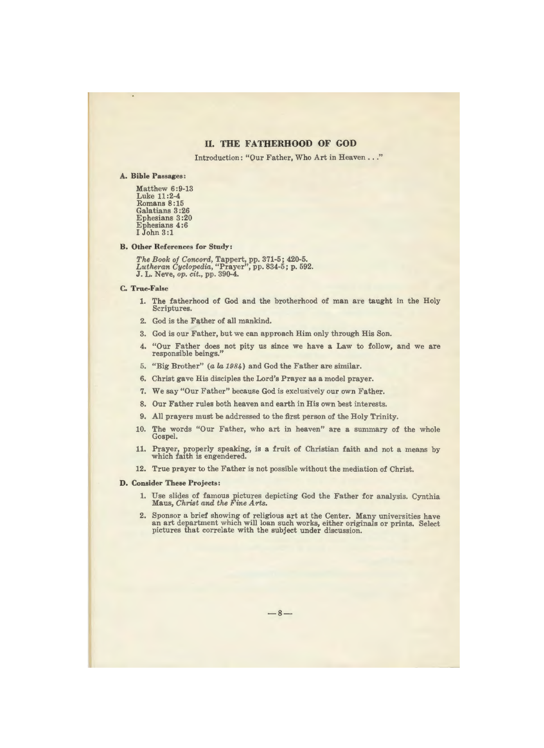## **II. THE FATHERHOOD OF GOD**

Introduction: "Our Father, Who Art in Heaven ... "

#### A. Bible **Passages:**

Matthew 6:9-13 Luke 11:2-4 Romans 8:15 Galatians 3 :26 Ephesians 3 :20 Ephesians 4:6 I John 3:1

#### **B. Other References for Study:**

*The Book of Concord,* Tappert, pp. 371-5; 420-5. *Lutheran Cyclopedia,* "Prayer", pp. 834-5; p. 592. J. L. Neve, *op. cit.,* pp. 390-4.

#### **C. True-False**

- 1. The fatherhood of God and the brotherhood of man are taught in the Holy Scriptures.
- 2. God is the Father of all mankind.
- 3. God is our Father, but we can approach Him only through His Son.
- 4. "Our Father does not pity us since we have a Law to follow, and we are responsible beings."
- 5. "Big Brother" (a *la 1984)* and God the Father are similar.
- 6. Christ gave His disciples the Lord's Prayer as a model prayer.
- 7. We say "Our Father" because God is exclusively our own Father.
- 8. Our Father rules both heaven and earth in His own best interests.
- 9. All prayers must be addressed to the first person of the Holy Trinity.
- 10. The words "Our Father, who art in heaven" are a summary of the whole Gospel.
- 11. Prayer, properly speaking, is a fruit of Christian faith and not a means by which faith is engendered.
- 12. True prayer to the Father is not possible without the mediation of Christ.

#### **D. Consider These Projects:**

- 1. Use slides of famous pictures depicting God the Father for analysis. Cynthia Maus, *Christ and the Fine Arts.*
- 2. Sponsor a brief showing of religious art at the Center. Many universities have an art department which will loan such works, either originals or prints. Select pictures that correlate with the subject under discussion.

 $-8-$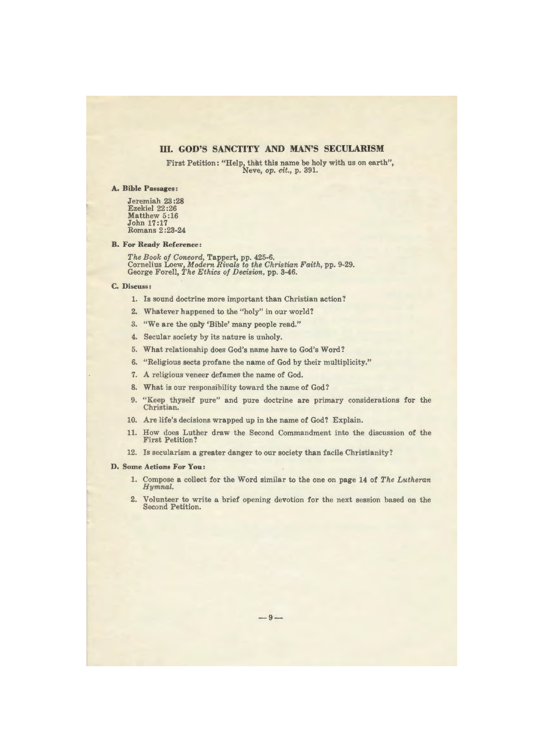## III. **GOD'S SANCTITY AND MAN'S SECULARISM**

First Petition: "Help, that this name be holy with us on earth", Neve, *op. cit.,* p. 391.

#### **A. Bible Passages:**

Jeremiah 23 :28 Ezekiel 22 :26 Matthew 5:16 John 17:17 Romans 2 :23-24

#### **B. For Ready Reference:**

*The Book of Concord,* Tappert, pp. 425-6. Cornelius Loew, *Modern Rivals to the Christian Faith,* pp. 9-29. George Forell, *The Ethics of Decision,* pp. 3-46.

#### **C.** Discuss:

- 1. Is sound doctrine more important than Christian action?
- 2. Whatever happened to the "holy" in our world?
- 3. "We are the only 'Bible' many people read."
- 4. Secular society by its nature is unholy.
- 5. What relationship does God's name have to God's Word?
- 6. "Religious sects profane the name of God by their multiplicity."
- 7. A religious veneer defames the name of God.
- 8. What is our responsibility toward the name of God?
- 9. "Keep thyself pure" and pure doctrine are primary considerations for the Christian.
- 10. Are life's decisions wrapped up in the name of God? Explain.
- 11. How does Luther draw the Second Commandment into the discussion of the First Petition?
- 12. Is secularism a greater danger to our society than facile Christianity?

#### **D, Some Actions For You:**

- 1. Compose a collect for the Word similar to the one on page 14 of *The Lutheran Hymnal.*
- 2. Volunteer to write a brief opening devotion for the next session based on the Second Petition.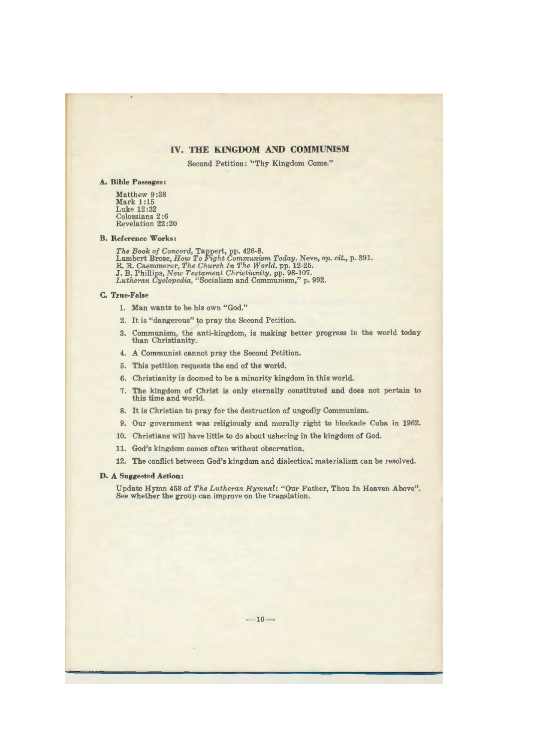### **IV. THE KINGDOM AND COMMUNISM**

Second Petition: "Thy Kingdom Come."

#### **A. Bible Passages:**

Matthew 9 :38 **Mark** 1:15 Luke 12:32 Colossians 2:6 Revelation 22 :20

#### **B. Reference Works:**

*The Book of Concord,* Tappert, pp. 426-8. Lambert Brose, *How To Fight Communism Today.* Neve, *op. cit.,* p. 391. R.R. Caemmerer, *The Church In The World,* pp. 12-25. J. B. Phillips, *New Testament Christianity,* pp. 98-107. *Lutheran Cyclopedia,* "Socialism and Communism," p. 992.

#### **C. True-False**

- 1. Man wants to be his own "God."
- 2. It is "dangerous" to pray the Second Petition.
- 3. Communism, the anti-kingdom, is making better progress in the world today than Christianity.
- 4. A Communist cannot pray the Second Petition.
- 5. This petition requests the end of the world.
- 6. Christianity is doomed to be a minority kingdom in this world.
- 7. The kingdom of Christ is only eternally constituted and does not pertain to this time and world.
- 8. It is Christian to pray for the destruction of ungodly Communism.
- 9. Our government was religiously and morally right to blockade Cuba in 1962.
- 10. Christians will have little to do about ushering in the kingdom of God.
- 11. God's kingdom comes often without observation,
- 12. The conflict between God's kingdom and dialectical materialism can be resolved.

#### **D. A Suggested Action:**

Update Hymn 458 of *The Lutheran Hymnal:* "Our Father, Thou In Heaven Above". See whether the group can improve on the translation.

 $-10-$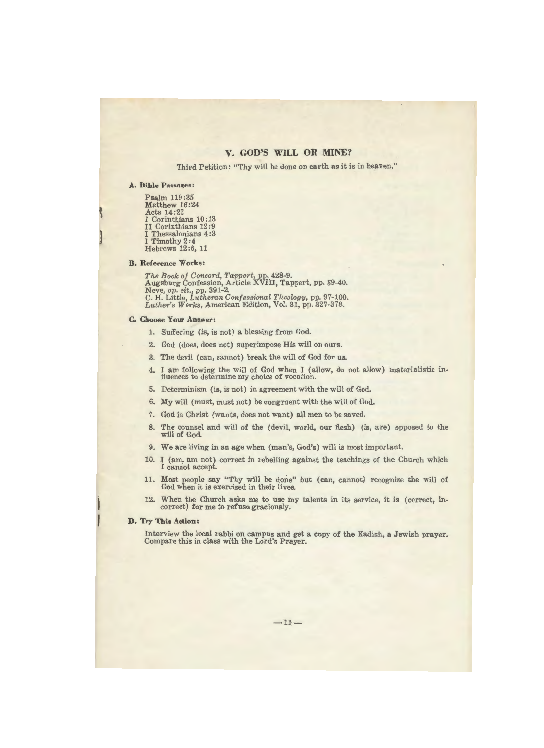## **V. GOD'S WILL OR MINE?**

Third Petition: "Thy will be done on earth as it is in heaven."

#### **A, Bible Passages:**

Psalm 119:35 Matthew 16:24 Acts 14:22 I Corinthians 10: 13 II Corinthians 12 :9 I Thessalonians 4:3 I Timothy 2:4 Hebrews 12:6, 11

#### **B. Reference Works:**

J

ţ

*The Book of Concord, Ta'PPert,* pp. 428-9. Augsburg Confession, Article **XVIII,** Tappert, pp. 39-40. Neve, op. *cit.,* pp. 391-2. C.H. Little, *Lutheran Confessional Theology,* pp. 97-100. *Luther's Works,* American Edition, Vol. 31, pp. 327-378.

## **C. Choose Your Answer:**

- 1. Suffering (is, is not) a blessing from God.
- 2. God (does, does not) superimpose His will on ours.
- 3. The devil (can, cannot) break the will of God for us.
- 4. I am following the will of God when I (allow, do not allow) materialistic influences to determine my choice of vocation.
- 5. Determinism (is, is not) in agreement with the will of God.
- 6. My will (must, must not) be congruent with the will of God.
- 7. God in Christ (wants, does not want) all men to be saved.
- 8. The counsel and will of the (devil, world, our flesh) (is, are) opposed to the will of God.
- 9. We are living in an age when (man's, God's) will is most important.
- 10. I (am, am not) correct in rebelling against the teachings of the Church which I cannot accept.
- 11. Most people say "Thy will be done" but (can, cannot) recognize the will of God when it is exercised in their lives.
- 12. When the Church asks me to use my talents in its service, it is ( correct, incorrect) for me to refuse graciously.

#### **D, Try This Action:**

Interview the local rabbi on campus and get a copy of the Kadish, a Jewish prayer. Compare this in class with the Lord's Prayer.

 $-11-$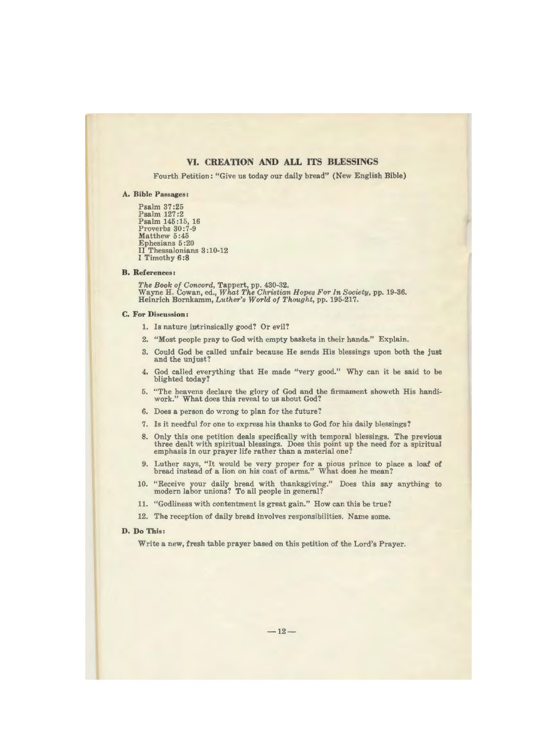## **VI. CREATION AND ALL ITS BLESSINGS**

Fourth Petition: "Give us today our daily bread" (New English Bible)

#### **A. Bible Passages:**

Psalm 37:25 Psalm 127:2 Psalm 145 :15, 16 Proverbs 30 :7-9 Matthew 5:45 Ephesians 5 :20 II Thessalonians 3 : 10-12 I Timothy 6 **:8** 

#### **B. References:**

*The Book of Concord,* Tappert, pp. 430-32. Wayne H. Cowan, ed., *What The Christian Hopes For In Society,* pp. 19-36. Heinrich Bornkamm, *Luther's World of Thought,* pp. 195-217.

#### **C. For Discussion:**

- 1. Is nature intrinsically good? Or evil?
- 2. "Most people pray to God with empty baskets in their hands." Explain.
- 3. Could God be called unfair because He sends His blessings upon both the just and the unjust?
- 4. God called everything that He made "very good." Why can it be said to be blighted today?
- 5. "The heavens declare the glory of God and the firmament showeth His handiwork." What does this reveal to us about God?
- 6. Does a person do wrong to plan for the future?
- 7. ls it needful for one to express his thanks to God for his daily blessings?
- 8. Only this one petition deals specifically with temporal blessings. The previous three dealt with spiritual blessings. Does this point up the need for a spiritual emphasis in our prayer life rather than a material one?
- 9. Luther says, "It would be very proper for a pious prince to place a loaf of bread instead of a lion on his coat of arms." What does he mean?
- 10. "Receive your daily bread with thanksgiving." Does this say anything to modern labor unions? To all people in general?
- 11. "Godliness with contentment is great gain." How can this be true?
- 12. The reception of daily bread involves responsibilities. Name some.

#### **D. Do This:**

Write a new, fresh table prayer based on this petition of the Lord's Prayer.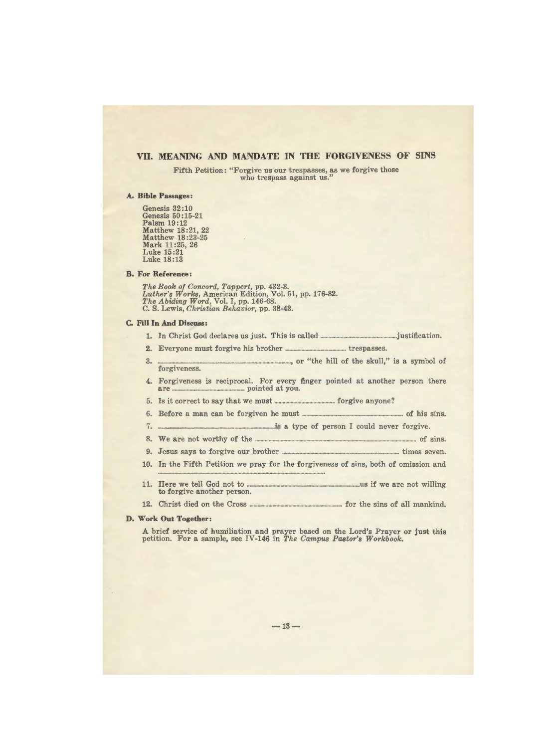## **VII. MEANING AND MANDATE IN THE FORGIVENESS OF SINS**

Fifth Petition: "Forgive us our trespasses, as we forgive those who trespass against us."

#### **A. Bible Passages:**

Genesis  $32:10$ Genesis 50: 15-21 Palsm 19:12 Matthew 18:21, 22 Matthew 18 :23-25 Mark 11 :25, 26 Luke 15:21 Luke 18:13

#### **B. For Reference:**

*The Book of Concord, Tappert,* pp. 432-3. *Luther's Works,* American Edition, Vol. 51, pp. 176-82. *The Abiding Word,* Vol. I, pp. 146-68. C. S. Lewis, *Christian Behavior,* pp. 38-43.

#### **C. Fill In And Discuss:**

- 1. In Christ God declares us just. This is called .................... \_\_\_\_\_\_ justification.
- **2.** Everyone must forgive his brother .................•.......................... trespasses.
- 3.  $\ldots$  or "the hill of the skull," is a symbol of forgiveness.
- 4. Forgiveness is reciprocal. For every finger pointed at another person there are .................................................... pointed at you.
- 5. Is it correct to say that we must \_\_\_\_\_ \_\_ forgive anyone?
- 6. Before a man can be forgiven he must ......................................................................... of his sins.
- 7. \_\_\_\_\_\_\_\_\_\_\_\_ \_..·s a type of person I could never forgive.
- 8. We are not worthy of the ..................................... -------·---.. ··········· of sins.
- 9. Jesus says to forgive our brother .............................................. times seven.
- 10. In the Fifth Petition we pray for the forgiveness of sins, both of omission and .............................. \_\_\_\_\_\_\_\_\_\_\_\_ \_ 11. Here we tell God not to \_\_\_\_\_\_\_\_\_\_\_\_\_ us if we are not willing
- to forgive another person.
- 12. Christ died on the Cross ----------for the sins of all mankind.

#### **D. Work Out Together:**

A brief service of humiliation and prayer based on the Lord's Prayer or just this petition. For a sample, see IV-146 in *The Campus Pastor's Workbook.*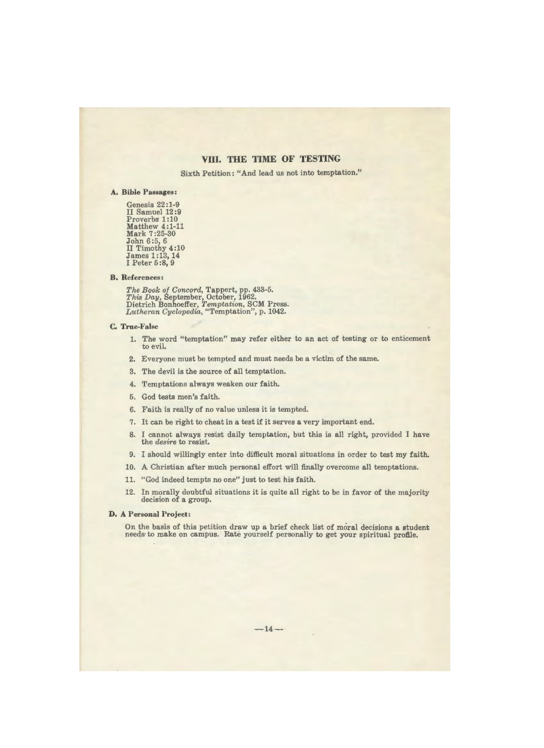## **VIII. THE TIME OF TESTING**

Sixth Petition: "And lead us not into temptation."

#### **A. Bible Passages:**

Genesis 22:1-9 II Samuel 12:9 Proverbs 1:10 Matthew 4:1-11 Mark 7 :25-30 John 6:5, 6 II Timothy 4:10 James 1 :13, 14 I Peter 5 :8, 9

#### **B. References:**

*The Book of Concord,* Tappert, pp. 433-5. *This Day,* September, October, 1962. Dietrich Bonhoeffer, *Temptation,* SCM Press. *Lutheran Cyclopedia,* "Temptation", p. 1042.

#### **C. True-False**

- 1. The word "temptation" may refer either to an act of testing or to enticement to evil.
- 2. Everyone must be tempted and must needs be a victim of the same.
- 3. The devil is the source of all temptation.
- 4. Temptations always weaken our faith.
- 5. God tests men's faith.
- 6. Faith is really of no value unless it is tempted.
- 7. It can be right to cheat in a test if it serves a very important end.
- 8. I cannot always resist daily temptation, but this is all right, provided I have the *desire* to resist.
- 9. I should willingly enter into difficult moral situations in order to test my faith.
- 10. A Christian after much personal effort will finally overcome all temptations.
- 11. "God indeed tempts no one" just to test his faith.
- 12. In morally doubtful situations it is quite all right to be in favor of the majority decision of a group.

#### **D. A Personal Project:**

On the basis of this petition draw up a brief check list of moral decisions a student needs· to make on campus. Rate yourself personally to get your spiritual profile.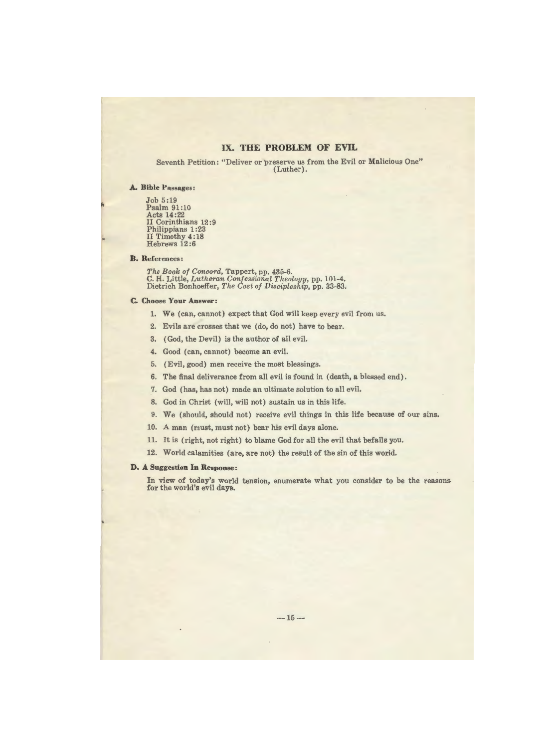## IX. **THE PROBLEM OF EVIL**

Seventh Petition: "Deliver or preserve us from the Evil or Malicious One" (Luther).

#### **A. Bible Passages:**

Job 5:19 Psalm 91:10 Acts 14:22 II Corinthians 12 :9 Philippians 1:23 II Timothy **4:** 18 Hebrews 12 :6

#### **B. References:**

*The Book of Concord,* Tappert, pp. 435-6. **C.H.** Little, *Lutheran Confessional Theology,* pp. 101-4. Dietrich Bonhoeffer, *The Cost of Discipleship*, pp. 33-83.

#### **C. Choose Your Answer:**

- 1. We (can, cannot) expect that God will keep every evil from us.
- 2. Evils are crosses that we (do, do not) have to bear.
- 3. (God, the Devil) is the author of all evil.
- 4. Good (can. cannot) become an evil.
- 5. (Evil, good) men receive the most blessings.
- 6. The final deliverance from all evil is found in ( death, a blessed end).
- 7. God (has, has not) made an ultimate solution to all evil.
- 8. God in Christ (will, will not) sustain us in this life.
- 9. We (should, should not) receive evil things in this life because of our sins.
- 10. A man (must, must not) bear his evil days alone.
- 11. It is (right, not right) to blame God for all the evil that befalls you.
- 12. World calamities (are, are not) the result of the sin of this world.

#### **D. A Suggestion** In **Response:**

In view of today's world tension, enumerate what you consider to be the reasons for the world's evil days.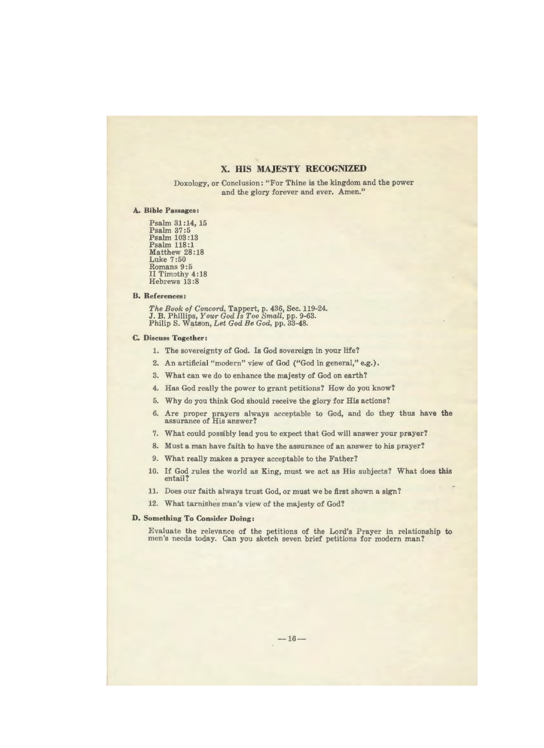## **X. HIS MAJESTY RECOGNIZED**

Doxology, or Conclusion: "For Thine is the kingdom and the power and the glory forever and ever. Amen."

#### **A. Bible Passages:**

Psalm 31 **:14,** 15 Psalm 37:5 Psalm 103 : 13 Psalm 118:1 Matthew 28:18 Luke 7:50 Romans 9:5 II Timothy 4:18 Hebrews 13 :8

#### **B. References:**

*The Book of Concord,* Tappert, p. 436, Sec. 119-24. J.B. Phillips, *Your God Is Too Small,* pp. 9-63. Philip S. Watson, *Let God Be God,* pp. 33-48.

#### **C.** Discuss **Together:**

- 1. The sovereignty of God. Is God sovereign in your life?
- 2. An artificial "modern" view of God ("God in general," e.g.).
- 3. What can we do to enhance the majesty of God on earth?
- 4. Has God really the power to grant petitions? How do you know?
- 5. Why do you think God should receive the glory for His actions?
- 6. Are proper prayers always acceptable to God, and do they thus have the assurance of His answer?
- 7. What could possibly lead you to expect that God will answer your prayer?
- 8. Must a man have faith to have the assurance of an answer to his prayer?
- 9. What really makes a prayer acceptable to the Father?
- 10. If God rules the world as King, must we act as His subjects? What does this entail?
- 11. Does our faith always trust God, or must we be first shown a sign?
- 12. What tarnishes man's view of the majesty of God?

#### **D. Something To Consider Doing:**

Evaluate the relevance of the petitions of the Lord's Prayer in relationship **to**  men's needs today. Can you sketch seven brief petitions for modern man?

 $-16-$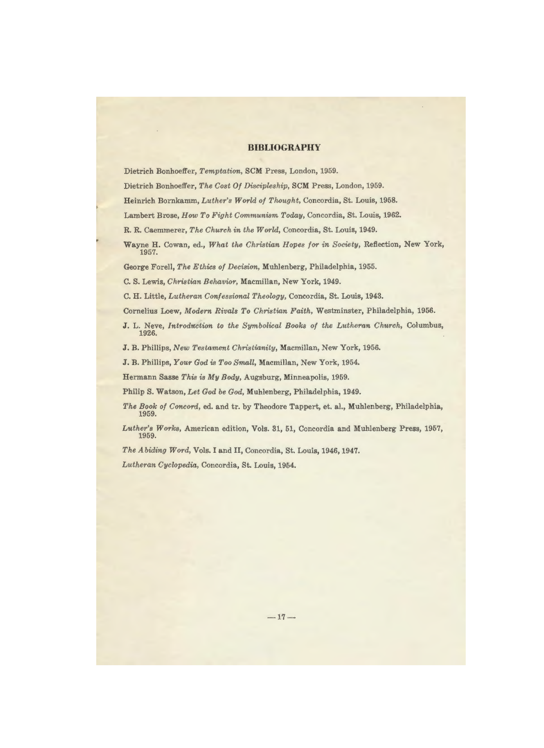#### **BIBLIOGRAPHY**

Dietrich Bonhoeffer, *Temptation,* SCM Press, London, 1959.

Dietrich Bonhoeffer, *The Cost Of Discipleship,* SCM Press, London, 1959.

Heinrich Bornkamm, *Luther's World of Thought,* Concordia, St. Louis, 1958.

Lambert Brose, *How To Fight Communism Today,* Concordia, St. Louis, 1962.

R.R. Caemmerer, *The Church in the World,* Concordia, St. Louis, 1949.

Wayne H. Cowan, ed., *What the Christian Hopes for in Society,* Reflection, New York, 1957.

George Forell, *The Ethics of Decision,* Muhlenberg, Philadelphia, 1955.

C. S. Lewis, *Christian Behavior,* Macmillan, New York, 1949.

C.H. Little, *Lutheran Confessional Theology,* Concordia, St. Louis, 1943.

Cornelius Loew, *Modern Rivals To Christian Faith,* Westminster, Philadelphia, 1956.

J. L. Neve, *Introduction to the Symbolical Books of the Lutheran Church*, Columbus, 1926.

J.B. Phillips, *New Testament Christianity,* Macmillan, New York, 1956.

J.B. Phillips, *Your God* is *Too Small,* Macmillan, New York, 1954.

Hermann Sasse *This* is *My Body,* Augsburg, Minneapolis, 1959.

Philip S. Watson, *Let God be God,* Muhlenberg, Philadelphia, 1949.

- *The Book of Concord,* ed. and tr. by Theodore Tappert, et. al., Muhlenberg, Philadelphia, 1959.
- *Luther's Works,* American edition, Vols. 31, 51, Concordia and Muhlenberg Press, 1957, 1959.

*The Abiding Word,* Vols. I and II, Concordia, St. Louis, 1946, 1947.

*Lutheran Cyclopedia,* Concordia, St. Louis, 1954.